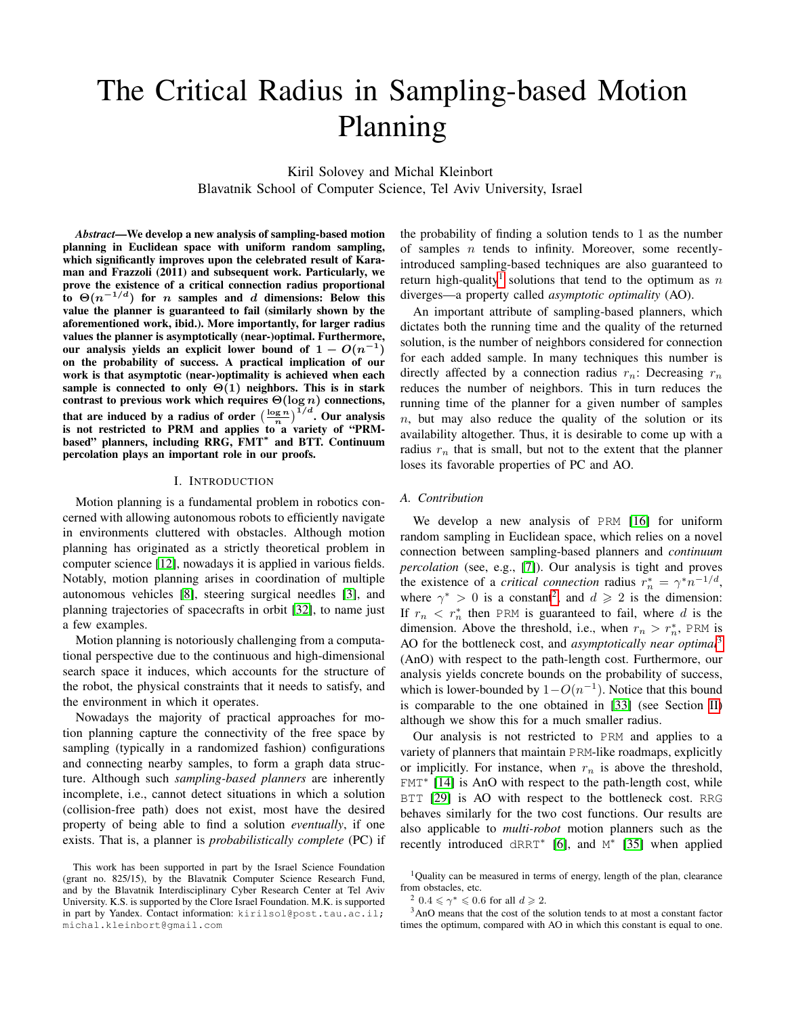# The Critical Radius in Sampling-based Motion Planning

Kiril Solovey and Michal Kleinbort Blavatnik School of Computer Science, Tel Aviv University, Israel

*Abstract*—We develop a new analysis of sampling-based motion planning in Euclidean space with uniform random sampling, which significantly improves upon the celebrated result of Karaman and Frazzoli (2011) and subsequent work. Particularly, we prove the existence of a critical connection radius proportional to  $\Theta(n^{-1/d})$  for n samples and d dimensions: Below this value the planner is guaranteed to fail (similarly shown by the aforementioned work, ibid.). More importantly, for larger radius values the planner is asymptotically (near-)optimal. Furthermore, our analysis yields an explicit lower bound of  $1 - O(n^{-1})$ on the probability of success. A practical implication of our work is that asymptotic (near-)optimality is achieved when each sample is connected to only  $\Theta(1)$  neighbors. This is in stark contrast to previous work which requires  $\Theta(\log n)$  connections, that are induced by a radius of order  $\left(\frac{\log n}{n}\right)^{1/d}$ . Our analysis is not restricted to PRM and applies to a variety of "PRMbased" planners, including RRG, FMT<sup>\*</sup> and BTT. Continuum percolation plays an important role in our proofs.

# I. INTRODUCTION

Motion planning is a fundamental problem in robotics concerned with allowing autonomous robots to efficiently navigate in environments cluttered with obstacles. Although motion planning has originated as a strictly theoretical problem in computer science [\[12\]](#page-8-0), nowadays it is applied in various fields. Notably, motion planning arises in coordination of multiple autonomous vehicles [\[8\]](#page-8-1), steering surgical needles [\[3\]](#page-8-2), and planning trajectories of spacecrafts in orbit [\[32\]](#page-9-0), to name just a few examples.

Motion planning is notoriously challenging from a computational perspective due to the continuous and high-dimensional search space it induces, which accounts for the structure of the robot, the physical constraints that it needs to satisfy, and the environment in which it operates.

Nowadays the majority of practical approaches for motion planning capture the connectivity of the free space by sampling (typically in a randomized fashion) configurations and connecting nearby samples, to form a graph data structure. Although such *sampling-based planners* are inherently incomplete, i.e., cannot detect situations in which a solution (collision-free path) does not exist, most have the desired property of being able to find a solution *eventually*, if one exists. That is, a planner is *probabilistically complete* (PC) if the probability of finding a solution tends to 1 as the number of samples  $n$  tends to infinity. Moreover, some recentlyintroduced sampling-based techniques are also guaranteed to return high-quality<sup>[1](#page-0-0)</sup> solutions that tend to the optimum as  $n$ diverges—a property called *asymptotic optimality* (AO).

An important attribute of sampling-based planners, which dictates both the running time and the quality of the returned solution, is the number of neighbors considered for connection for each added sample. In many techniques this number is directly affected by a connection radius  $r_n$ : Decreasing  $r_n$ reduces the number of neighbors. This in turn reduces the running time of the planner for a given number of samples  $n$ , but may also reduce the quality of the solution or its availability altogether. Thus, it is desirable to come up with a radius  $r_n$  that is small, but not to the extent that the planner loses its favorable properties of PC and AO.

## *A. Contribution*

We develop a new analysis of PRM [\[16\]](#page-8-3) for uniform random sampling in Euclidean space, which relies on a novel connection between sampling-based planners and *continuum percolation* (see, e.g., [\[7\]](#page-8-4)). Our analysis is tight and proves the existence of a *critical connection* radius  $r_n^* = \gamma^* n^{-1/d}$ , where  $\gamma^* > 0$  is a constant<sup>[2](#page-0-1)</sup>, and  $d \ge 2$  is the dimension: If  $r_n < r_n^*$  then PRM is guaranteed to fail, where d is the dimension. Above the threshold, i.e., when  $r_n > r_n^*$ , PRM is AO for the bottleneck cost, and *asymptotically near optimal*[3](#page-0-2) (AnO) with respect to the path-length cost. Furthermore, our analysis yields concrete bounds on the probability of success, which is lower-bounded by  $1 - O(n^{-1})$ . Notice that this bound is comparable to the one obtained in [\[33\]](#page-9-1) (see Section [II\)](#page-1-0) although we show this for a much smaller radius.

Our analysis is not restricted to PRM and applies to a variety of planners that maintain PRM-like roadmaps, explicitly or implicitly. For instance, when  $r_n$  is above the threshold, FMT<sup>∗</sup> [\[14\]](#page-8-5) is AnO with respect to the path-length cost, while BTT [\[29\]](#page-9-2) is AO with respect to the bottleneck cost. RRG behaves similarly for the two cost functions. Our results are also applicable to *multi-robot* motion planners such as the recently introduced dRRT<sup>\*</sup> [\[6\]](#page-8-6), and M<sup>\*</sup> [\[35\]](#page-9-3) when applied

<sup>3</sup>AnO means that the cost of the solution tends to at most a constant factor times the optimum, compared with AO in which this constant is equal to one.

This work has been supported in part by the Israel Science Foundation (grant no. 825/15), by the Blavatnik Computer Science Research Fund, and by the Blavatnik Interdisciplinary Cyber Research Center at Tel Aviv University. K.S. is supported by the Clore Israel Foundation. M.K. is supported in part by Yandex. Contact information: kirilsol@post.tau.ac.il; michal.kleinbort@gmail.com

<span id="page-0-0"></span><sup>&</sup>lt;sup>1</sup>Quality can be measured in terms of energy, length of the plan, clearance from obstacles, etc.

<span id="page-0-2"></span><span id="page-0-1"></span><sup>&</sup>lt;sup>2</sup> 0.4  $\leq \gamma^* \leq 0.6$  for all  $d \geq 2$ .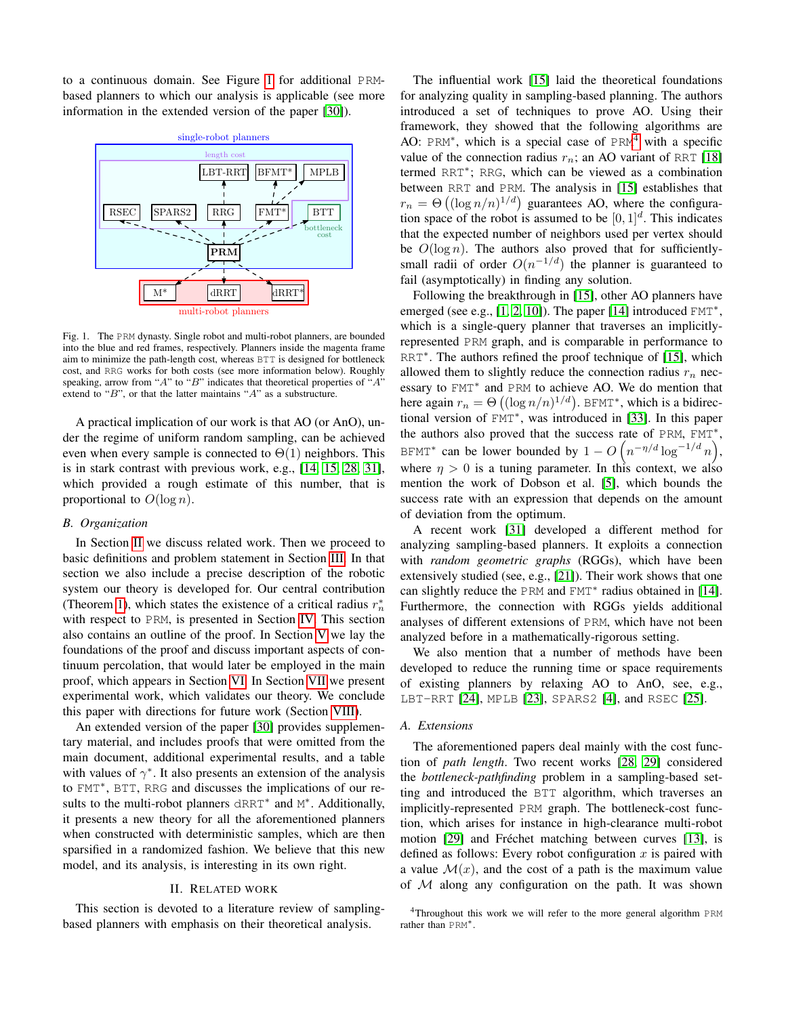to a continuous domain. See Figure [1](#page-1-1) for additional PRMbased planners to which our analysis is applicable (see more information in the extended version of the paper [\[30\]](#page-9-4)).



<span id="page-1-1"></span>Fig. 1. The PRM dynasty. Single robot and multi-robot planners, are bounded into the blue and red frames, respectively. Planners inside the magenta frame aim to minimize the path-length cost, whereas BTT is designed for bottleneck cost, and RRG works for both costs (see more information below). Roughly speaking, arrow from "A" to "B" indicates that theoretical properties of "A" extend to " $B$ ", or that the latter maintains " $A$ " as a substructure.

A practical implication of our work is that AO (or AnO), under the regime of uniform random sampling, can be achieved even when every sample is connected to  $\Theta(1)$  neighbors. This is in stark contrast with previous work, e.g., [\[14,](#page-8-5) [15,](#page-8-7) [28,](#page-9-5) [31\]](#page-9-6), which provided a rough estimate of this number, that is proportional to  $O(\log n)$ .

## *B. Organization*

In Section [II](#page-1-0) we discuss related work. Then we proceed to basic definitions and problem statement in Section [III.](#page-2-0) In that section we also include a precise description of the robotic system our theory is developed for. Our central contribution (Theorem [1\)](#page-3-0), which states the existence of a critical radius  $r_n^*$ with respect to PRM, is presented in Section [IV.](#page-2-1) This section also contains an outline of the proof. In Section [V](#page-3-1) we lay the foundations of the proof and discuss important aspects of continuum percolation, that would later be employed in the main proof, which appears in Section [VI.](#page-4-0) In Section [VII](#page-5-0) we present experimental work, which validates our theory. We conclude this paper with directions for future work (Section [VIII\)](#page-7-0).

An extended version of the paper [\[30\]](#page-9-4) provides supplementary material, and includes proofs that were omitted from the main document, additional experimental results, and a table with values of  $\gamma^*$ . It also presents an extension of the analysis to FMT<sup>∗</sup> , BTT, RRG and discusses the implications of our results to the multi-robot planners  $dRRT^*$  and  $M^*$ . Additionally, it presents a new theory for all the aforementioned planners when constructed with deterministic samples, which are then sparsified in a randomized fashion. We believe that this new model, and its analysis, is interesting in its own right.

## II. RELATED WORK

<span id="page-1-0"></span>This section is devoted to a literature review of samplingbased planners with emphasis on their theoretical analysis.

The influential work [\[15\]](#page-8-7) laid the theoretical foundations for analyzing quality in sampling-based planning. The authors introduced a set of techniques to prove AO. Using their framework, they showed that the following algorithms are AO: PRM<sup>\*</sup>, which is a special case of PRM<sup>[4](#page-1-2)</sup> with a specific value of the connection radius  $r_n$ ; an AO variant of RRT [\[18\]](#page-8-8) termed RRT<sup>∗</sup> ; RRG, which can be viewed as a combination between RRT and PRM. The analysis in [\[15\]](#page-8-7) establishes that  $r_n = \Theta\left((\log n/n)^{1/d}\right)$  guarantees AO, where the configuration space of the robot is assumed to be  $[0, 1]^d$ . This indicates that the expected number of neighbors used per vertex should be  $O(\log n)$ . The authors also proved that for sufficientlysmall radii of order  $O(n^{-1/d})$  the planner is guaranteed to fail (asymptotically) in finding any solution.

Following the breakthrough in [\[15\]](#page-8-7), other AO planners have emerged (see e.g., [\[1,](#page-8-9) [2,](#page-8-10) [10\]](#page-8-11)). The paper [\[14\]](#page-8-5) introduced FMT<sup>\*</sup>, which is a single-query planner that traverses an implicitlyrepresented PRM graph, and is comparable in performance to RRT<sup>\*</sup>. The authors refined the proof technique of [\[15\]](#page-8-7), which allowed them to slightly reduce the connection radius  $r_n$  necessary to FMT<sup>\*</sup> and PRM to achieve AO. We do mention that here again  $r_n = \Theta\left( (\log n/n)^{1/d} \right)$ . BFMT<sup>\*</sup>, which is a bidirectional version of FMT<sup>∗</sup> , was introduced in [\[33\]](#page-9-1). In this paper the authors also proved that the success rate of PRM, FMT<sup>\*</sup>, BFMT<sup>\*</sup> can be lower bounded by  $1 - O\left(n^{-\eta/d} \log^{-1/d} n\right)$ , where  $\eta > 0$  is a tuning parameter. In this context, we also mention the work of Dobson et al. [\[5\]](#page-8-12), which bounds the success rate with an expression that depends on the amount of deviation from the optimum.

A recent work [\[31\]](#page-9-6) developed a different method for analyzing sampling-based planners. It exploits a connection with *random geometric graphs* (RGGs), which have been extensively studied (see, e.g., [\[21\]](#page-8-13)). Their work shows that one can slightly reduce the PRM and FMT<sup>\*</sup> radius obtained in [\[14\]](#page-8-5). Furthermore, the connection with RGGs yields additional analyses of different extensions of PRM, which have not been analyzed before in a mathematically-rigorous setting.

We also mention that a number of methods have been developed to reduce the running time or space requirements of existing planners by relaxing AO to AnO, see, e.g., LBT-RRT [\[24\]](#page-8-14), MPLB [\[23\]](#page-8-15), SPARS2 [\[4\]](#page-8-16), and RSEC [\[25\]](#page-8-17).

## *A. Extensions*

The aforementioned papers deal mainly with the cost function of *path length*. Two recent works [\[28,](#page-9-5) [29\]](#page-9-2) considered the *bottleneck-pathfinding* problem in a sampling-based setting and introduced the BTT algorithm, which traverses an implicitly-represented PRM graph. The bottleneck-cost function, which arises for instance in high-clearance multi-robot motion [\[29\]](#page-9-2) and Fréchet matching between curves [\[13\]](#page-8-18), is defined as follows: Every robot configuration  $x$  is paired with a value  $\mathcal{M}(x)$ , and the cost of a path is the maximum value of  $M$  along any configuration on the path. It was shown

<span id="page-1-2"></span><sup>&</sup>lt;sup>4</sup>Throughout this work we will refer to the more general algorithm PRM rather than PRM∗.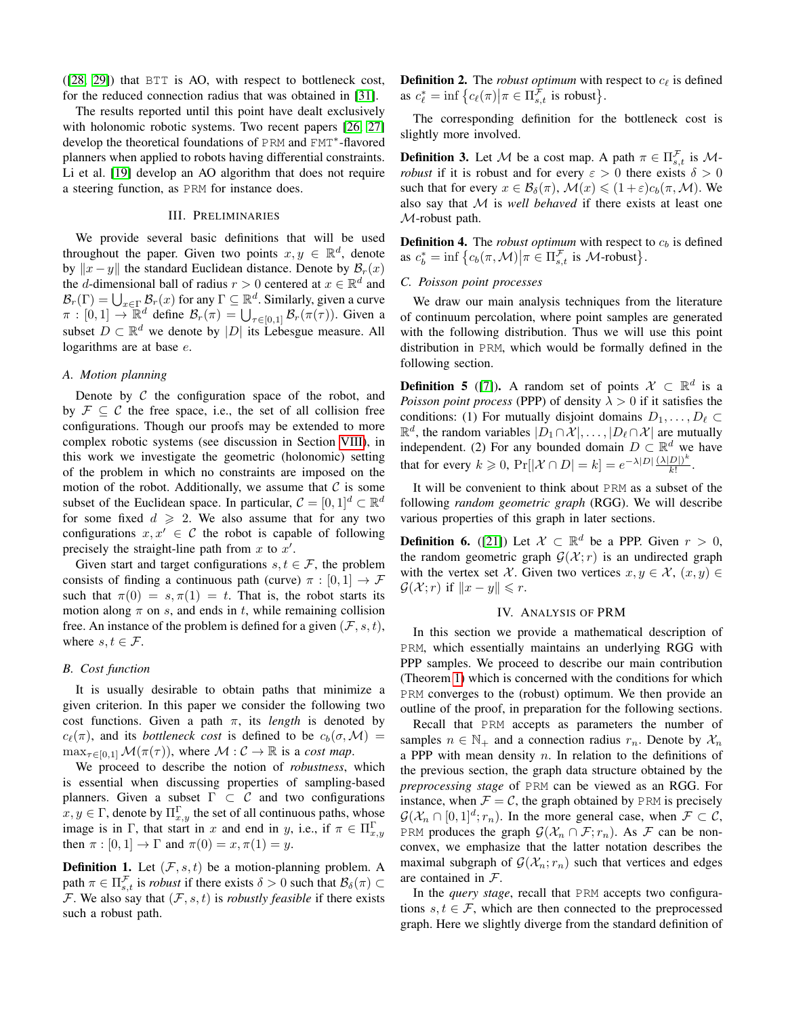([\[28,](#page-9-5) [29\]](#page-9-2)) that BTT is AO, with respect to bottleneck cost, for the reduced connection radius that was obtained in [\[31\]](#page-9-6).

The results reported until this point have dealt exclusively with holonomic robotic systems. Two recent papers [\[26,](#page-8-19) [27\]](#page-8-20) develop the theoretical foundations of PRM and FMT<sup>∗</sup> -flavored planners when applied to robots having differential constraints. Li et al. [\[19\]](#page-8-21) develop an AO algorithm that does not require a steering function, as PRM for instance does.

## III. PRELIMINARIES

<span id="page-2-0"></span>We provide several basic definitions that will be used throughout the paper. Given two points  $x, y \in \mathbb{R}^d$ , denote by  $||x - y||$  the standard Euclidean distance. Denote by  $\mathcal{B}_r(x)$ the *d*-dimensional ball of radius  $r > 0$  centered at  $x \in \mathbb{R}^d$  and  $\mathcal{B}_r(\Gamma) = \bigcup_{x \in \Gamma} \mathcal{B}_r(x)$  for any  $\Gamma \subseteq \mathbb{R}^d$ . Similarly, given a curve  $\pi : [0,1] \to \mathbb{R}^d$  define  $\mathcal{B}_r(\pi) = \bigcup_{\tau \in [0,1]} \mathcal{B}_r(\pi(\tau))$ . Given a subset  $D \subset \mathbb{R}^d$  we denote by  $|D|$  its Lebesgue measure. All logarithms are at base e.

## *A. Motion planning*

Denote by  $C$  the configuration space of the robot, and by  $\mathcal{F} \subset \mathcal{C}$  the free space, i.e., the set of all collision free configurations. Though our proofs may be extended to more complex robotic systems (see discussion in Section [VIII\)](#page-7-0), in this work we investigate the geometric (holonomic) setting of the problem in which no constraints are imposed on the motion of the robot. Additionally, we assume that  $\mathcal C$  is some subset of the Euclidean space. In particular,  $C = [0, 1]^d \subset \mathbb{R}^d$ for some fixed  $d \ge 2$ . We also assume that for any two configurations  $x, x' \in \mathcal{C}$  the robot is capable of following precisely the straight-line path from  $x$  to  $x'$ .

Given start and target configurations  $s, t \in \mathcal{F}$ , the problem consists of finding a continuous path (curve)  $\pi : [0, 1] \rightarrow \mathcal{F}$ such that  $\pi(0) = s, \pi(1) = t$ . That is, the robot starts its motion along  $\pi$  on s, and ends in t, while remaining collision free. An instance of the problem is defined for a given  $(\mathcal{F}, s, t)$ , where  $s, t \in \mathcal{F}$ .

## *B. Cost function*

It is usually desirable to obtain paths that minimize a given criterion. In this paper we consider the following two cost functions. Given a path  $\pi$ , its *length* is denoted by  $c_{\ell}(\pi)$ , and its *bottleneck cost* is defined to be  $c_b(\sigma, \mathcal{M}) =$  $\max_{\tau \in [0,1]} \mathcal{M}(\pi(\tau))$ , where  $\mathcal{M} : \mathcal{C} \to \mathbb{R}$  is a *cost map*.

We proceed to describe the notion of *robustness*, which is essential when discussing properties of sampling-based planners. Given a subset  $\Gamma \subset \mathcal{C}$  and two configurations  $x, y \in \Gamma$ , denote by  $\Pi_{x,y}^{\Gamma}$  the set of all continuous paths, whose image is in Γ, that start in x and end in y, i.e., if  $\pi \in \Pi_{x,y}^{\Gamma}$ then  $\pi : [0,1] \to \Gamma$  and  $\pi(0) = x, \pi(1) = y$ .

**Definition 1.** Let  $(\mathcal{F}, s, t)$  be a motion-planning problem. A path  $\pi \in \Pi_{s,t}^{\mathcal{F}}$  is *robust* if there exists  $\delta > 0$  such that  $\mathcal{B}_{\delta}(\pi) \subset$ F. We also say that  $(F, s, t)$  is *robustly feasible* if there exists such a robust path.

<span id="page-2-2"></span>**Definition 2.** The *robust optimum* with respect to  $c_{\ell}$  is defined as  $c_{\ell}^* = \inf \left\{ c_{\ell}(\pi) \middle| \pi \in \Pi_{s,t}^{\mathcal{F}} \text{ is robust} \right\}.$ 

The corresponding definition for the bottleneck cost is slightly more involved.

**Definition 3.** Let M be a cost map. A path  $\pi \in \Pi_{s,t}^{\neq}$  is M*robust* if it is robust and for every  $\varepsilon > 0$  there exists  $\delta > 0$ such that for every  $x \in \mathcal{B}_{\delta}(\pi)$ ,  $\mathcal{M}(x) \leq (1+\varepsilon)c_b(\pi, \mathcal{M})$ . We also say that M is *well behaved* if there exists at least one M-robust path.

**Definition 4.** The *robust optimum* with respect to  $c_b$  is defined as  $c_b^* = \inf \left\{ c_b(\pi, \mathcal{M}) \middle| \pi \in \Pi_{s,t}^{\mathcal{F}} \text{ is } \mathcal{M}\text{-robust} \right\}.$ 

# *C. Poisson point processes*

We draw our main analysis techniques from the literature of continuum percolation, where point samples are generated with the following distribution. Thus we will use this point distribution in PRM, which would be formally defined in the following section.

**Definition 5** ([\[7\]](#page-8-4)). A random set of points  $\mathcal{X} \subset \mathbb{R}^d$  is a *Poisson point process* (PPP) of density  $\lambda > 0$  if it satisfies the conditions: (1) For mutually disjoint domains  $D_1, \ldots, D_\ell \subset$  $\mathbb{R}^d$ , the random variables  $|D_1 \cap \mathcal{X}|, \ldots, |D_\ell \cap \mathcal{X}|$  are mutually independent. (2) For any bounded domain  $D \subset \mathbb{R}^d$  we have that for every  $k \geq 0$ ,  $Pr[|\mathcal{X} \cap D| = k] = e^{-\lambda |D|} \frac{(\lambda |D|)^k}{k!}$  $\frac{D|)}{k!}$ .

It will be convenient to think about PRM as a subset of the following *random geometric graph* (RGG). We will describe various properties of this graph in later sections.

**Definition 6.** ([\[21\]](#page-8-13)) Let  $\mathcal{X} \subset \mathbb{R}^d$  be a PPP. Given  $r > 0$ , the random geometric graph  $G(X; r)$  is an undirected graph with the vertex set X. Given two vertices  $x, y \in \mathcal{X}$ ,  $(x, y) \in$  $\mathcal{G}(\mathcal{X}; r)$  if  $||x - y|| \leqslant r$ .

# IV. ANALYSIS OF PRM

<span id="page-2-1"></span>In this section we provide a mathematical description of PRM, which essentially maintains an underlying RGG with PPP samples. We proceed to describe our main contribution (Theorem [1\)](#page-3-0) which is concerned with the conditions for which PRM converges to the (robust) optimum. We then provide an outline of the proof, in preparation for the following sections.

Recall that PRM accepts as parameters the number of samples  $n \in \mathbb{N}_+$  and a connection radius  $r_n$ . Denote by  $\mathcal{X}_n$ a PPP with mean density  $n$ . In relation to the definitions of the previous section, the graph data structure obtained by the *preprocessing stage* of PRM can be viewed as an RGG. For instance, when  $\mathcal{F} = \mathcal{C}$ , the graph obtained by PRM is precisely  $\mathcal{G}(\mathcal{X}_n \cap [0,1]^d; r_n)$ . In the more general case, when  $\mathcal{F} \subset \mathcal{C}$ , PRM produces the graph  $\mathcal{G}(\mathcal{X}_n \cap \mathcal{F}; r_n)$ . As  $\mathcal F$  can be nonconvex, we emphasize that the latter notation describes the maximal subgraph of  $\mathcal{G}(\mathcal{X}_n; r_n)$  such that vertices and edges are contained in F.

In the *query stage*, recall that PRM accepts two configurations  $s, t \in \mathcal{F}$ , which are then connected to the preprocessed graph. Here we slightly diverge from the standard definition of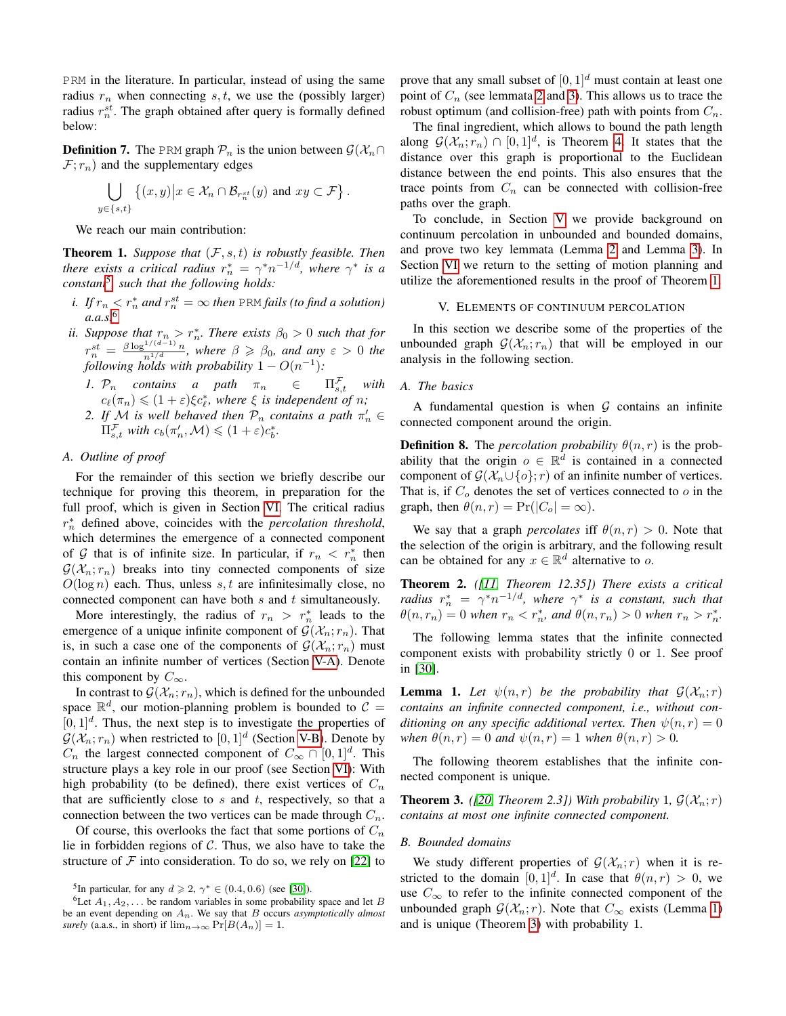PRM in the literature. In particular, instead of using the same radius  $r_n$  when connecting s, t, we use the (possibly larger) radius  $r_n^{st}$ . The graph obtained after query is formally defined below:

**Definition 7.** The PRM graph  $\mathcal{P}_n$  is the union between  $\mathcal{G}(\mathcal{X}_n \cap \mathcal{Y}_n)$  $\mathcal{F}; r_n$ ) and the supplementary edges

$$
\bigcup_{y \in \{s,t\}} \left\{ (x,y) \middle| x \in \mathcal{X}_n \cap \mathcal{B}_{r_n^{st}}(y) \text{ and } xy \subset \mathcal{F} \right\}.
$$

We reach our main contribution:

<span id="page-3-0"></span>**Theorem 1.** *Suppose that*  $(F, s, t)$  *is robustly feasible. Then there exists a critical radius*  $r_n^* = \gamma^* n^{-1/d}$ , where  $\gamma^*$  *is a constant*[5](#page-3-2) *, such that the following holds:*

- *i.* If  $r_n < r_n^*$  and  $r_n^{st} = \infty$  then PRM fails (to find a solution) *a.a.s.*[6](#page-3-3)
- *ii.* Suppose that  $r_n > r_n^*$ . There exists  $\beta_0 > 0$  such that for  $r_n^{st} = \frac{\beta \log^{1/(d-1)} n}{n^{1/d}},$  where  $\beta \geq \beta_0$ , and any  $\varepsilon > 0$  the *following holds with probability*  $1 - O(n^{-1})$ :
	- *1.*  $\mathcal{P}_n$  *contains a path*  $\pi_n \in \Pi_s^{\mathcal{F}}$  $\Pi_{s,t}^{\mathcal{F}}$  with  $c_{\ell}(\pi_n) \leqslant (1+\varepsilon)\xi c_{\ell}^*$ , where  $\xi$  is independent of n;
	- 2. If M is well behaved then  $\mathcal{P}_n$  contains a path  $\pi'_n \in$  $\Pi_{s,t}^{\mathcal{F}}$  *with*  $c_b(\pi'_n,\mathcal{M}) \leqslant (1+\varepsilon)c_b^*$ .

# *A. Outline of proof*

For the remainder of this section we briefly describe our technique for proving this theorem, in preparation for the full proof, which is given in Section [VI.](#page-4-0) The critical radius r ∗ <sup>n</sup> defined above, coincides with the *percolation threshold*, which determines the emergence of a connected component of G that is of infinite size. In particular, if  $r_n < r_n^*$  then  $G(\mathcal{X}_n; r_n)$  breaks into tiny connected components of size  $O(\log n)$  each. Thus, unless s, t are infinitesimally close, no connected component can have both  $s$  and  $t$  simultaneously.

More interestingly, the radius of  $r_n > r_n^*$  leads to the emergence of a unique infinite component of  $\mathcal{G}(\mathcal{X}_n; r_n)$ . That is, in such a case one of the components of  $\mathcal{G}(\mathcal{X}_n; r_n)$  must contain an infinite number of vertices (Section [V-A\)](#page-3-4). Denote this component by  $C_{\infty}$ .

In contrast to  $\mathcal{G}(\mathcal{X}_n; r_n)$ , which is defined for the unbounded space  $\mathbb{R}^d$ , our motion-planning problem is bounded to  $\mathcal{C} =$  $[0, 1]^d$ . Thus, the next step is to investigate the properties of  $\mathcal{G}(\mathcal{X}_n; r_n)$  when restricted to  $[0, 1]^d$  (Section [V-B\)](#page-3-5). Denote by  $C_n$  the largest connected component of  $C_\infty \cap [0,1]^d$ . This structure plays a key role in our proof (see Section [VI\)](#page-4-0): With high probability (to be defined), there exist vertices of  $C_n$ that are sufficiently close to  $s$  and  $t$ , respectively, so that a connection between the two vertices can be made through  $C_n$ .

Of course, this overlooks the fact that some portions of  $C_n$ lie in forbidden regions of  $C$ . Thus, we also have to take the structure of  $F$  into consideration. To do so, we rely on [\[22\]](#page-8-22) to prove that any small subset of  $[0, 1]^d$  must contain at least one point of  $C_n$  (see lemmata [2](#page-4-1) and [3\)](#page-4-2). This allows us to trace the robust optimum (and collision-free) path with points from  $C_n$ .

The final ingredient, which allows to bound the path length along  $\mathcal{G}(\mathcal{X}_n; r_n) \cap [0,1]^d$ , is Theorem [4.](#page-4-3) It states that the distance over this graph is proportional to the Euclidean distance between the end points. This also ensures that the trace points from  $C_n$  can be connected with collision-free paths over the graph.

To conclude, in Section [V](#page-3-1) we provide background on continuum percolation in unbounded and bounded domains, and prove two key lemmata (Lemma [2](#page-4-1) and Lemma [3\)](#page-4-2). In Section [VI](#page-4-0) we return to the setting of motion planning and utilize the aforementioned results in the proof of Theorem [1.](#page-3-0)

#### V. ELEMENTS OF CONTINUUM PERCOLATION

<span id="page-3-1"></span>In this section we describe some of the properties of the unbounded graph  $G(\mathcal{X}_n; r_n)$  that will be employed in our analysis in the following section.

## <span id="page-3-4"></span>*A. The basics*

A fundamental question is when  $G$  contains an infinite connected component around the origin.

**Definition 8.** The *percolation probability*  $\theta(n,r)$  is the probability that the origin  $o \in \mathbb{R}^d$  is contained in a connected component of  $\mathcal{G}(\mathcal{X}_n \cup \{o\}; r)$  of an infinite number of vertices. That is, if  $C<sub>o</sub>$  denotes the set of vertices connected to  $o$  in the graph, then  $\theta(n, r) = \Pr(|C_o| = \infty)$ .

We say that a graph *percolates* iff  $\theta(n, r) > 0$ . Note that the selection of the origin is arbitrary, and the following result can be obtained for any  $x \in \mathbb{R}^d$  alternative to o.

Theorem 2. *([\[11,](#page-8-23) Theorem 12.35]) There exists a critical radius*  $r_n^* = \gamma^* n^{-1/d}$ , where  $\gamma^*$  *is a constant, such that*  $\theta(n, r_n) = 0$  when  $r_n < r_n^*$ , and  $\theta(n, r_n) > 0$  when  $r_n > r_n^*$ .

The following lemma states that the infinite connected component exists with probability strictly 0 or 1. See proof in [\[30\]](#page-9-4).

<span id="page-3-6"></span>**Lemma 1.** Let  $\psi(n,r)$  be the probability that  $\mathcal{G}(\mathcal{X}_n;r)$ *contains an infinite connected component, i.e., without conditioning on any specific additional vertex. Then*  $\psi(n,r) = 0$ *when*  $\theta(n,r) = 0$  *and*  $\psi(n,r) = 1$  *when*  $\theta(n,r) > 0$ *.* 

The following theorem establishes that the infinite connected component is unique.

<span id="page-3-7"></span>**Theorem 3.** *(*[\[20,](#page-8-24) *Theorem 2.3])* With probability 1,  $\mathcal{G}(\mathcal{X}_n; r)$ *contains at most one infinite connected component.*

#### <span id="page-3-5"></span>*B. Bounded domains*

We study different properties of  $\mathcal{G}(\mathcal{X}_n; r)$  when it is restricted to the domain  $[0,1]^d$ . In case that  $\theta(n,r) > 0$ , we use  $C_{\infty}$  to refer to the infinite connected component of the unbounded graph  $\mathcal{G}(\mathcal{X}_n; r)$ . Note that  $C_{\infty}$  exists (Lemma [1\)](#page-3-6) and is unique (Theorem [3\)](#page-3-7) with probability 1.

<span id="page-3-3"></span><span id="page-3-2"></span><sup>&</sup>lt;sup>5</sup>In particular, for any  $d \ge 2$ ,  $\gamma^* \in (0.4, 0.6)$  (see [\[30\]](#page-9-4)).

<sup>&</sup>lt;sup>6</sup>Let  $A_1, A_2, \ldots$  be random variables in some probability space and let B be an event depending on An. We say that B occurs *asymptotically almost surely* (a.a.s., in short) if  $\lim_{n\to\infty} \Pr[B(A_n)] = 1$ .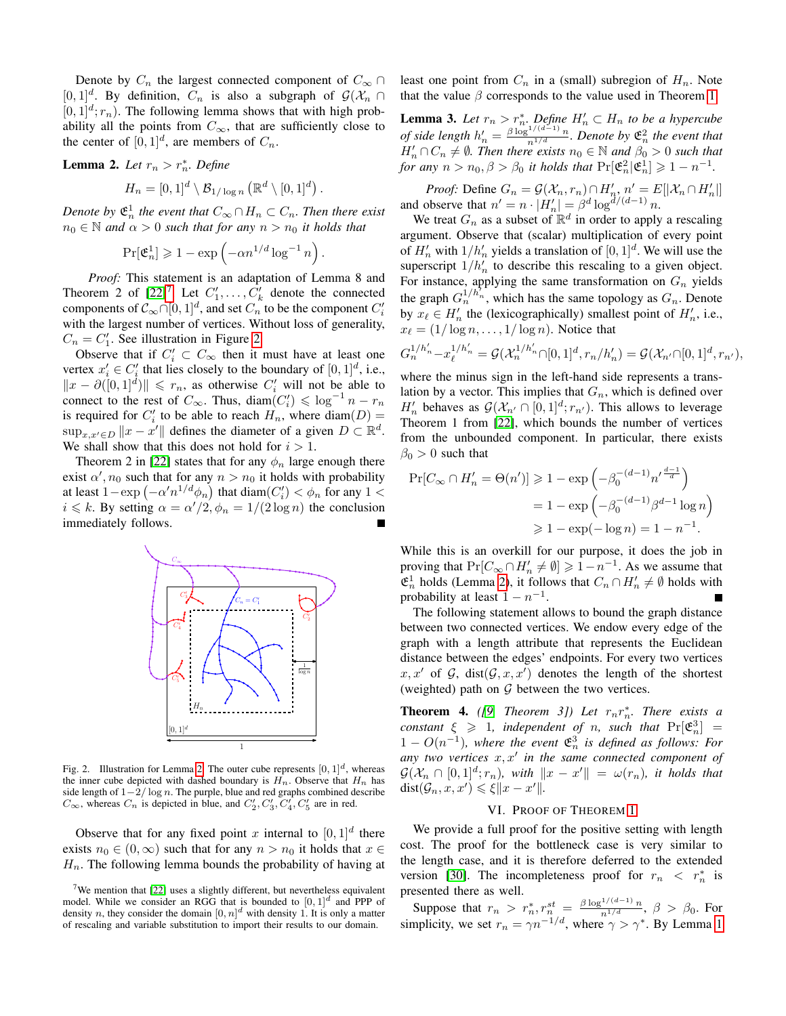Denote by  $C_n$  the largest connected component of  $C_\infty \cap$  $[0,1]^d$ . By definition,  $C_n$  is also a subgraph of  $\mathcal{G}(\mathcal{X}_n \cap$  $[0, 1]^d$ ;  $r_n$ ). The following lemma shows that with high probability all the points from  $C_{\infty}$ , that are sufficiently close to the center of  $[0, 1]^d$ , are members of  $C_n$ .

<span id="page-4-1"></span>**Lemma 2.** Let 
$$
r_n > r_n^*
$$
. Define

$$
H_n = [0,1]^d \setminus \mathcal{B}_{1/\log n} (\mathbb{R}^d \setminus [0,1]^d).
$$

*Denote by*  $\mathfrak{E}_n^1$  the event that  $C_\infty \cap H_n \subset C_n$ . Then there exist  $n_0 \in \mathbb{N}$  *and*  $\alpha > 0$  *such that for any*  $n > n_0$  *it holds that* 

$$
\Pr[\mathfrak{E}_n^1] \geq 1 - \exp\left(-\alpha n^{1/d} \log^{-1} n\right).
$$

*Proof:* This statement is an adaptation of Lemma 8 and Theorem 2 of  $[22]^7$  $[22]^7$  $[22]^7$ . Let  $C'_1, \ldots, C'_k$  denote the connected components of  $\mathcal{C}_{\infty} \cap [0,1]^d$ , and set  $C_n$  to be the component  $C_i'$ with the largest number of vertices. Without loss of generality,  $C_n = C'_1$ . See illustration in Figure [2.](#page-4-5)

Observe that if  $C_i' \subset C_\infty$  then it must have at least one vertex  $x'_i \in C'_i$  that lies closely to the boundary of  $[0, 1]^d$ , i.e.,  $||x - \partial([0, 1]^d)|| \leq r_n$ , as otherwise  $C'_i$  will not be able to connect to the rest of  $C_{\infty}$ . Thus, diam $(C_i') \leq \log^{-1} n - r_n$ is required for  $C_i'$  to be able to reach  $H_n$ , where  $\text{diam}(D) =$  $\sup_{x,x'\in D} ||x - x'||$  defines the diameter of a given  $D \subset \mathbb{R}^d$ . We shall show that this does not hold for  $i > 1$ .

Theorem 2 in [\[22\]](#page-8-22) states that for any  $\phi_n$  large enough there exist  $\alpha', n_0$  such that for any  $n > n_0$  it holds with probability at least  $1 - \exp(-\alpha' n^{1/d} \phi_n)$  that  $\text{diam}(C_i') < \phi_n$  for any  $1 <$  $i \le k$ . By setting  $\alpha = \alpha'/2$ ,  $\phi_n = 1/(2 \log n)$  the conclusion immediately follows.



<span id="page-4-5"></span>Fig. [2.](#page-4-1) Illustration for Lemma 2. The outer cube represents  $[0, 1]^d$ , whereas the inner cube depicted with dashed boundary is  $H_n$ . Observe that  $H_n$  has side length of  $1-\frac{2}{\log n}$ . The purple, blue and red graphs combined describe  $C_{\infty}$ , whereas  $C_n$  is depicted in blue, and  $C'_2, C'_3, C'_4, C'_5$  are in red.

Observe that for any fixed point x internal to  $[0,1]^d$  there exists  $n_0 \in (0, \infty)$  such that for any  $n > n_0$  it holds that  $x \in$  $H_n$ . The following lemma bounds the probability of having at least one point from  $C_n$  in a (small) subregion of  $H_n$ . Note that the value  $\beta$  corresponds to the value used in Theorem [1.](#page-3-0)

<span id="page-4-2"></span>**Lemma 3.** Let  $r_n > r_n^*$ . Define  $H'_n \subset H_n$  to be a hypercube *of side length*  $h'_n = \frac{\beta \log^{1/(d-1)} n}{n^{1/d}}$ *. Denote by*  $\mathfrak{E}_n^2$  *the event that*  $H'_n \cap C_n \neq \emptyset$ . Then there exists  $n_0 \in \mathbb{N}$  and  $\beta_0 > 0$  such that *for any*  $n > n_0$ ,  $\beta > \beta_0$  *it holds that*  $\Pr[\mathfrak{E}_n^2 | \mathfrak{E}_n^1] \geq 1 - n^{-1}$ .

*Proof:* Define  $G_n = \mathcal{G}(\mathcal{X}_n, r_n) \cap H'_{n}, n' = E[|\mathcal{X}_n \cap H'_n|]$ and observe that  $n' = n \cdot |H'_n| = \beta^d \log^{d/(d-1)} n$ .

We treat  $G_n$  as a subset of  $\mathbb{R}^d$  in order to apply a rescaling argument. Observe that (scalar) multiplication of every point of  $H'_n$  with  $1/h'_n$  yields a translation of  $[0, 1]^d$ . We will use the superscript  $1/h'_n$  to describe this rescaling to a given object. For instance, applying the same transformation on  $G_n$  yields the graph  $G_n^{1/h_n}$ , which has the same topology as  $G_n$ . Denote by  $x_\ell \in H'_n$  the (lexicographically) smallest point of  $H'_n$ , i.e.,  $x_{\ell} = (1/\log n, \ldots, 1/\log n)$ . Notice that

$$
G_n^{1/h'_n} - x_\ell^{1/h'_n} = \mathcal{G}(\mathcal{X}_n^{1/h'_n} \cap [0,1]^d, r_n/h'_n) = \mathcal{G}(\mathcal{X}_{n'} \cap [0,1]^d, r_{n'}),
$$

where the minus sign in the left-hand side represents a translation by a vector. This implies that  $G_n$ , which is defined over  $H'_n$  behaves as  $\mathcal{G}(\mathcal{X}_{n'} \cap [0,1]^d; r_{n'})$ . This allows to leverage Theorem 1 from [\[22\]](#page-8-22), which bounds the number of vertices from the unbounded component. In particular, there exists  $\beta_0 > 0$  such that

$$
\Pr[C_{\infty} \cap H'_n = \Theta(n')] \ge 1 - \exp\left(-\beta_0^{-(d-1)} n'^{\frac{d-1}{d}}\right)
$$

$$
= 1 - \exp\left(-\beta_0^{-(d-1)} \beta^{d-1} \log n\right)
$$

$$
\ge 1 - \exp(-\log n) = 1 - n^{-1}.
$$

While this is an overkill for our purpose, it does the job in proving that  $Pr[C_{\infty} \cap H'_n \neq \emptyset] \geq 1 - n^{-1}$ . As we assume that  $\mathfrak{E}_n^1$  holds (Lemma [2\)](#page-4-1), it follows that  $C_n \cap H'_n \neq \emptyset$  holds with probability at least  $1 - n^{-1}$ .

The following statement allows to bound the graph distance between two connected vertices. We endow every edge of the graph with a length attribute that represents the Euclidean distance between the edges' endpoints. For every two vertices  $x, x'$  of G, dist $(G, x, x')$  denotes the length of the shortest (weighted) path on  $G$  between the two vertices.

<span id="page-4-3"></span>**Theorem 4.** ([\[9,](#page-8-25) Theorem 3]) Let  $r_n r_n^*$ . There exists a *constant*  $\xi \geq 1$ *, independent of n, such that*  $Pr[\mathfrak{E}_n^3] =$  $1 - O(n^{-1})$ , where the event  $\mathfrak{E}_n^3$  is defined as follows: For any two vertices  $x, x'$  in the same connected component of  $\mathcal{G}(\mathcal{X}_n \cap [0,1]^d; r_n)$ , with  $||x - x'|| = \omega(r_n)$ , it holds that  $dist(\mathcal{G}_n, x, x') \leq \xi ||x - x'||.$ 

# VI. PROOF OF THEOREM [1](#page-3-0)

<span id="page-4-0"></span>We provide a full proof for the positive setting with length cost. The proof for the bottleneck case is very similar to the length case, and it is therefore deferred to the extended version [\[30\]](#page-9-4). The incompleteness proof for  $r_n < r_n^*$  is presented there as well.

Suppose that  $r_n > r_n^*, r_n^{st} = \frac{\beta \log^{1/(d-1)} n}{n^{1/d}}, \beta > \beta_0$ . For simplicity, we set  $r_n = \gamma n^{-1/d}$ , where  $\gamma > \gamma^*$ . By Lemma [1](#page-3-6)

<span id="page-4-4"></span><sup>&</sup>lt;sup>7</sup>We mention that [\[22\]](#page-8-22) uses a slightly different, but nevertheless equivalent model. While we consider an RGG that is bounded to  $[0, 1]^d$  and PPP of density n, they consider the domain  $[0, n]^d$  with density 1. It is only a matter of rescaling and variable substitution to import their results to our domain.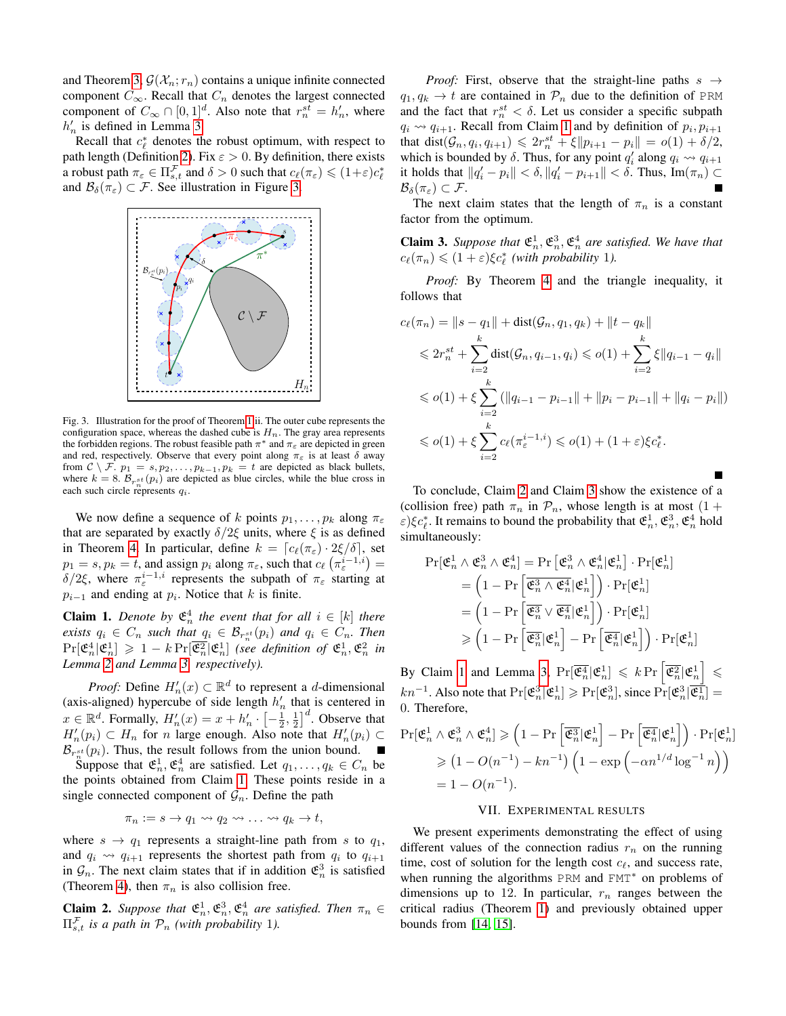and Theorem [3,](#page-3-7)  $\mathcal{G}(\mathcal{X}_n; r_n)$  contains a unique infinite connected component  $C_{\infty}$ . Recall that  $C_n$  denotes the largest connected component of  $C_{\infty} \cap [0,1]^d$ . Also note that  $r_n^{st} = h'_n$ , where  $h'_n$  is defined in Lemma [3.](#page-4-2)

Recall that  $c_{\ell}^{*}$  denotes the robust optimum, with respect to path length (Definition [2\)](#page-2-2). Fix  $\varepsilon > 0$ . By definition, there exists a robust path  $\pi_{\varepsilon} \in \Pi^{\mathcal{F}}_{s,t}$  and  $\delta > 0$  such that  $c_{\ell}(\pi_{\varepsilon}) \leq (1+\varepsilon)c_{\ell}^*$ and  $\mathcal{B}_{\delta}(\pi_{\varepsilon}) \subset \mathcal{F}$ . See illustration in Figure [3.](#page-5-1)



<span id="page-5-1"></span>Fig. 3. Illustration for the proof of Theorem [1.](#page-3-0)ii. The outer cube represents the configuration space, whereas the dashed cube is  $H_n$ . The gray area represents the forbidden regions. The robust feasible path  $\pi^*$  and  $\pi_{\varepsilon}$  are depicted in green and red, respectively. Observe that every point along  $\pi_{\varepsilon}$  is at least  $\delta$  away from  $C \setminus F$ .  $p_1 = s, p_2, \ldots, p_{k-1}, p_k = t$  are depicted as black bullets, where  $k = 8$ .  $\mathcal{B}_{r_n^{st}}(p_i)$  are depicted as blue circles, while the blue cross in each such circle represents  $q_i$ .

We now define a sequence of k points  $p_1, \ldots, p_k$  along  $\pi_{\varepsilon}$ that are separated by exactly  $\delta/2\xi$  units, where  $\xi$  is as defined in Theorem [4.](#page-4-3) In particular, define  $k = [c_\ell(\pi_\varepsilon) \cdot 2\xi/\delta]$ , set  $p_1 = s, p_k = t$ , and assign  $p_i$  along  $\pi_{\varepsilon}$ , such that  $c_\ell \left( \pi_{\varepsilon}^{i-1,i} \right) =$ δ/2ξ, where  $\pi_{\varepsilon}^{i-1,i}$  represents the subpath of  $\pi_{\varepsilon}$  starting at  $p_{i-1}$  and ending at  $p_i$ . Notice that k is finite.

<span id="page-5-2"></span>**Claim 1.** Denote by  $\mathfrak{E}_n^4$  the event that for all  $i \in [k]$  there *exists*  $q_i \in C_n$  *such that*  $q_i \in \mathcal{B}_{r_n^{st}}(p_i)$  *and*  $q_i \in C_n$ *. Then*  $\Pr[\mathfrak{E}_n^4 | \mathfrak{E}_n^1] \geq 1 - k \Pr[\overline{\mathfrak{E}_n^2} | \mathfrak{E}_n^1]$  (see definition of  $\mathfrak{E}_n^1, \mathfrak{E}_n^2$  in *Lemma [2](#page-4-1) and Lemma [3,](#page-4-2) respectively).*

*Proof:* Define  $H'_n(x) \subset \mathbb{R}^d$  to represent a *d*-dimensional (axis-aligned) hypercube of side length  $h'_n$  that is centered in  $x \in \mathbb{R}^d$ . Formally,  $H'_n(x) = x + h'_n \cdot \left[-\frac{1}{2}, \frac{1}{2}\right]^d$ . Observe that  $H'_n(p_i) \subset H_n$  for *n* large enough. Also note that  $H'_n(p_i) \subset$  $\mathcal{B}_{r_{\underline{n}}^{st}}(p_i)$ . Thus, the result follows from the union bound.

Suppose that  $\mathfrak{E}_n^1$ ,  $\mathfrak{E}_n^4$  are satisfied. Let  $q_1, \ldots, q_k \in C_n$  be the points obtained from Claim [1.](#page-5-2) These points reside in a single connected component of  $\mathcal{G}_n$ . Define the path

$$
\pi_n := s \to q_1 \leadsto q_2 \leadsto \ldots \leadsto q_k \to t,
$$

where  $s \rightarrow q_1$  represents a straight-line path from s to  $q_1$ , and  $q_i \leadsto q_{i+1}$  represents the shortest path from  $q_i$  to  $q_{i+1}$ in  $\mathcal{G}_n$ . The next claim states that if in addition  $\mathfrak{E}_n^3$  is satisfied (Theorem [4\)](#page-4-3), then  $\pi_n$  is also collision free.

<span id="page-5-3"></span>**Claim 2.** Suppose that  $\mathfrak{E}_n^1, \mathfrak{E}_n^3, \mathfrak{E}_n^4$  are satisfied. Then  $\pi_n \in \mathbb{R}$  $\Pi_{s,t}^{\mathcal{F}}$  *is a path in*  $\mathcal{P}_n$  *(with probability 1).* 

*Proof:* First, observe that the straight-line paths  $s \rightarrow$  $q_1, q_k \rightarrow t$  are contained in  $\mathcal{P}_n$  due to the definition of PRM and the fact that  $r_n^{st} < \delta$ . Let us consider a specific subpath  $q_i \rightsquigarrow q_{i+1}$ . Recall from Claim [1](#page-5-2) and by definition of  $p_i, p_{i+1}$ that dist $(\mathcal{G}_n, q_i, q_{i+1}) \leq 2r_n^{st} + \xi ||p_{i+1} - p_i|| = o(1) + \delta/2$ , which is bounded by  $\delta$ . Thus, for any point  $q'_i$  along  $q_i \leadsto q_{i+1}$ it holds that  $||q_i' - p_i|| < \delta$ ,  $||q_i' - p_{i+1}|| < \delta$ . Thus,  $Im(\pi_n) \subset$  $\mathcal{B}_{\delta}(\pi_{\varepsilon})\subset\mathcal{F}.$ 

The next claim states that the length of  $\pi_n$  is a constant factor from the optimum.

<span id="page-5-4"></span>**Claim 3.** Suppose that  $\mathfrak{E}_n^1, \mathfrak{E}_n^3, \mathfrak{E}_n^4$  are satisfied. We have that  $c_{\ell}(\pi_n) \leq (1 + \varepsilon)\xi c_{\ell}^*$  (with probability 1).

*Proof:* By Theorem [4](#page-4-3) and the triangle inequality, it follows that

$$
c_{\ell}(\pi_n) = ||s - q_1|| + \text{dist}(\mathcal{G}_n, q_1, q_k) + ||t - q_k||
$$
  
\n
$$
\leq 2r_n^{st} + \sum_{i=2}^k \text{dist}(\mathcal{G}_n, q_{i-1}, q_i) \leq o(1) + \sum_{i=2}^k \xi ||q_{i-1} - q_i||
$$
  
\n
$$
\leq o(1) + \xi \sum_{i=2}^k (||q_{i-1} - p_{i-1}|| + ||p_i - p_{i-1}|| + ||q_i - p_i||)
$$
  
\n
$$
\leq o(1) + \xi \sum_{i=2}^k c_{\ell}(\pi_{\varepsilon}^{i-1,i}) \leq o(1) + (1 + \varepsilon)\xi c_{\ell}^*.
$$

To conclude, Claim [2](#page-5-3) and Claim [3](#page-5-4) show the existence of a (collision free) path  $\pi_n$  in  $\mathcal{P}_n$ , whose length is at most (1+  $\varepsilon$ ) $\xi c_{\ell}^{*}$ . It remains to bound the probability that  $\mathfrak{E}_n^1$ ,  $\mathfrak{E}_n^3$ ,  $\mathfrak{E}_n^4$  hold simultaneously:

$$
\begin{aligned} \Pr[\mathfrak{E}_n^1 \wedge \mathfrak{E}_n^3 \wedge \mathfrak{E}_n^4] &= \Pr\left[\mathfrak{E}_n^3 \wedge \mathfrak{E}_n^4 | \mathfrak{E}_n^1\right] \cdot \Pr[\mathfrak{E}_n^1] \\ &= \left(1 - \Pr\left[\overline{\mathfrak{E}_n^3 \wedge \mathfrak{E}_n^4} | \mathfrak{E}_n^1\right]\right) \cdot \Pr[\mathfrak{E}_n^1] \\ &= \left(1 - \Pr\left[\overline{\mathfrak{E}_n^3 \vee \mathfrak{E}_n^4} | \mathfrak{E}_n^1\right]\right) \cdot \Pr[\mathfrak{E}_n^1] \\ &\geqslant \left(1 - \Pr\left[\overline{\mathfrak{E}_n^3} | \mathfrak{E}_n^1\right] - \Pr\left[\overline{\mathfrak{E}_n^4} | \mathfrak{E}_n^1\right]\right) \cdot \Pr[\mathfrak{E}_n^1] \end{aligned}
$$

By Claim [1](#page-5-2) and Lemma [3,](#page-4-2)  $Pr[\overline{\mathfrak{E}_n^4}|\mathfrak{E}_n^1] \leq k Pr\left[\overline{\mathfrak{E}_n^2}|\mathfrak{E}_n^1\right] \leq k$  $kn^{-1}$ . Also note that  $Pr[\mathfrak{E}_n^3 | \mathfrak{E}_n^1] \geqslant Pr[\mathfrak{E}_n^3]$ , since  $Pr[\mathfrak{E}_n^3 | \overline{\mathfrak{E}_n^1}]$  = 0. Therefore,

$$
\Pr[\mathfrak{E}_n^1 \wedge \mathfrak{E}_n^3 \wedge \mathfrak{E}_n^4] \geq (1 - \Pr\left[\overline{\mathfrak{E}_n^3} | \mathfrak{E}_n^1\right] - \Pr\left[\overline{\mathfrak{E}_n^4} | \mathfrak{E}_n^1\right]) \cdot \Pr[\mathfrak{E}_n^1]
$$
  
\n
$$
\geq (1 - O(n^{-1}) - kn^{-1}) \left(1 - \exp\left(-\alpha n^{1/d} \log^{-1} n\right)\right)
$$
  
\n
$$
= 1 - O(n^{-1}).
$$

## VII. EXPERIMENTAL RESULTS

<span id="page-5-0"></span>We present experiments demonstrating the effect of using different values of the connection radius  $r_n$  on the running time, cost of solution for the length cost  $c_f$ , and success rate, when running the algorithms PRM and FMT<sup>\*</sup> on problems of dimensions up to 12. In particular,  $r_n$  ranges between the critical radius (Theorem [1\)](#page-3-0) and previously obtained upper bounds from [\[14,](#page-8-5) [15\]](#page-8-7).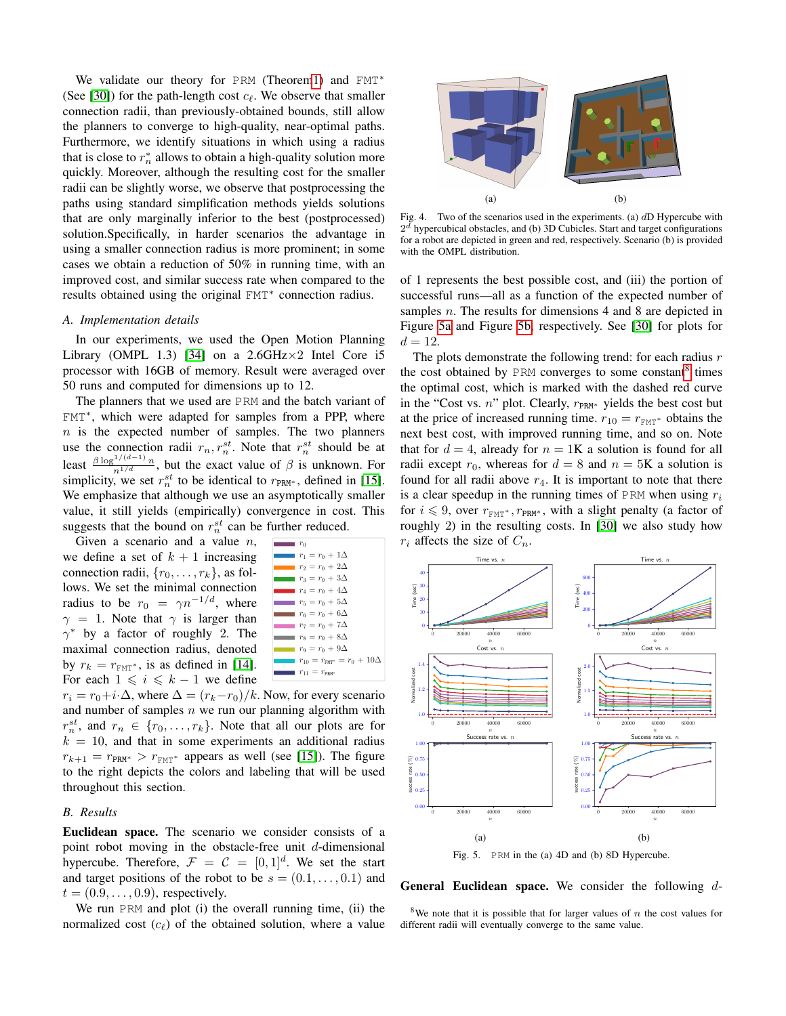We validate our theory for PRM (Theore[m1\)](#page-3-0) and FMT<sup>\*</sup> (See [\[30\]](#page-9-4)) for the path-length cost  $c_\ell$ . We observe that smaller connection radii, than previously-obtained bounds, still allow the planners to converge to high-quality, near-optimal paths. Furthermore, we identify situations in which using a radius that is close to  $r_n^*$  allows to obtain a high-quality solution more quickly. Moreover, although the resulting cost for the smaller radii can be slightly worse, we observe that postprocessing the paths using standard simplification methods yields solutions that are only marginally inferior to the best (postprocessed) solution.Specifically, in harder scenarios the advantage in using a smaller connection radius is more prominent; in some cases we obtain a reduction of 50% in running time, with an improved cost, and similar success rate when compared to the results obtained using the original FMT<sup>∗</sup> connection radius.

## *A. Implementation details*

In our experiments, we used the Open Motion Planning Library (OMPL 1.3) [\[34\]](#page-9-7) on a  $2.6$ GHz $\times$ 2 Intel Core i5 processor with 16GB of memory. Result were averaged over 50 runs and computed for dimensions up to 12.

The planners that we used are PRM and the batch variant of FMT<sup>∗</sup> , which were adapted for samples from a PPP, where  $n$  is the expected number of samples. The two planners use the connection radii  $r_n, r_n^{st}$ . Note that  $r_n^{st}$  should be at Least  $\frac{\beta \log^{1/(d-1)} n}{n^{1/d}}$ , but the exact value of  $\beta$  is unknown. For simplicity, we set  $r_n^{st}$  to be identical to  $r_{PRM^*}$ , defined in [\[15\]](#page-8-7). We emphasize that although we use an asymptotically smaller value, it still yields (empirically) convergence in cost. This suggests that the bound on  $r_n^{st}$  can be further reduced.

by  $r_k = r_{\text{FMT}^*}$ , is as defined in [\[14\]](#page-8-5). radius to be  $r_0 = \gamma n^{-1/d}$ , where we define a set of  $k + 1$  increasing Given a scenario and a value  $n$ , connection radii,  $\{r_0, \ldots, r_k\}$ , as follows. We set the minimal connection  $\gamma = 1$ . Note that  $\gamma$  is larger than  $\gamma^*$  by a factor of roughly 2. The maximal connection radius, denoted For each  $1 \leqslant i \leqslant k - 1$  we define



 $k = 10$ , and that in some experiments an additional radius  $\frac{1.00 \text{ m}}{1.00 \text{ m}}$ and number of samples  $n$  we run our planning algorithm with  $r_i = r_0 + i\cdot\Delta$ , where  $\Delta = (r_k - r_0)/k$ . Now, for every scenario  $r_n^{st}$ , and  $r_n \in \{r_0, \ldots, r_k\}$ . Note that all our plots are for  $r_{k+1} = r_{PRM^*} > r_{FMT^*}$  appears as well (see [\[15\]](#page-8-7)). The figure to the right depicts the colors and labeling that will be used throughout this section.

# *B. Results*

Euclidean space. The scenario we consider consists of a point robot moving in the obstacle-free unit  $d$ -dimensional hypercube. Therefore,  $\mathcal{F} = \mathcal{C} = [0, 1]^d$ . We set the start and target positions of the robot to be  $s = (0.1, \ldots, 0.1)$  and  $t = (0.9, \ldots, 0.9)$ , respectively.

We run PRM and plot (i) the overall running time, (ii) the normalized cost  $(c_\ell)$  of the obtained solution, where a value

<span id="page-6-3"></span>

<span id="page-6-4"></span>Fig. 4. Two of the scenarios used in the experiments. (a)  $dD$  Hypercube with  $2<sup>d</sup>$  hypercubical obstacles, and (b) 3D Cubicles. Start and target configurations for a robot are depicted in green and red, respectively. Scenario (b) is provided with the OMPL distribution.

of 1 represents the best possible cost, and (iii) the portion of successful runs—all as a function of the expected number of samples *n*. The results for dimensions 4 and 8 are depicted in Figure [5a](#page-6-0) and Figure [5b,](#page-6-1) respectively. See [\[30\]](#page-9-4) for plots for  $d = 12.$ 

The plots demonstrate the following trend: for each radius  $r$ the cost obtained by PRM converges to some constant<sup>[8](#page-6-2)</sup> times the optimal cost, which is marked with the dashed red curve in the "Cost vs. n" plot. Clearly,  $r_{PRM*}$  yields the best cost but at the price of increased running time.  $r_{10} = r_{\text{FMT}^*}$  obtains the next best cost, with improved running time, and so on. Note that for  $d = 4$ , already for  $n = 1$ K a solution is found for all radii except  $r_0$ , whereas for  $d = 8$  and  $n = 5K$  a solution is found for all radii above  $r_4$ . It is important to note that there is a clear speedup in the running times of PRM when using  $r_i$ for  $i \leq 9$ , over  $r_{\text{FMT}^*}$ ,  $r_{\text{PRM}^*}$ , with a slight penalty (a factor of roughly 2) in the resulting costs. In  $[30]$  we also study how  $r_i$  affects the size of  $C_n$ .

<span id="page-6-0"></span>

<span id="page-6-1"></span>Fig. 5. PRM in the (a) 4D and (b) 8D Hypercube.

**General Euclidean space.** We consider the following  $d$ -

<span id="page-6-2"></span><sup>8</sup>We note that it is possible that for larger values of n the cost values for different radii will eventually converge to the same value.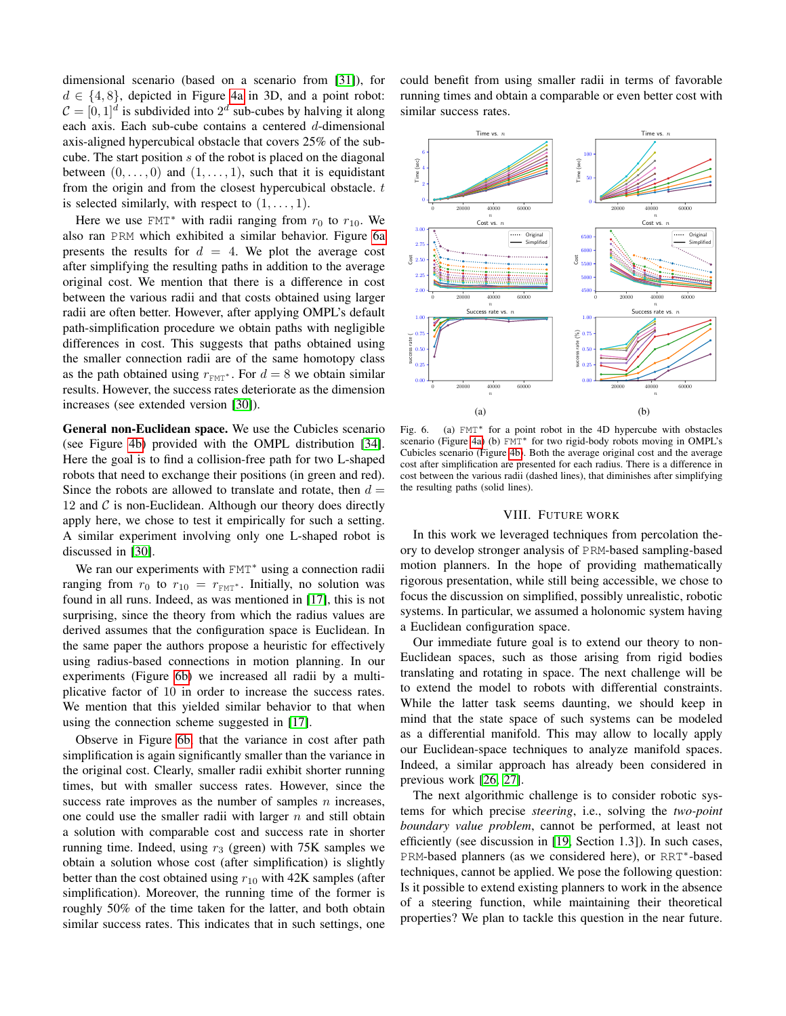dimensional scenario (based on a scenario from [\[31\]](#page-9-6)), for  $d \in \{4, 8\}$ , depicted in Figure [4a](#page-6-3) in 3D, and a point robot:  $C = [0, 1]^d$  is subdivided into  $2^d$  sub-cubes by halving it along each axis. Each sub-cube contains a centered d-dimensional axis-aligned hypercubical obstacle that covers 25% of the subcube. The start position s of the robot is placed on the diagonal between  $(0, \ldots, 0)$  and  $(1, \ldots, 1)$ , such that it is equidistant from the origin and from the closest hypercubical obstacle.  $t$ is selected similarly, with respect to  $(1, \ldots, 1)$ .

Here we use FMT<sup>\*</sup> with radii ranging from  $r_0$  to  $r_{10}$ . We also ran PRM which exhibited a similar behavior. Figure [6a](#page-7-1) presents the results for  $d = 4$ . We plot the average cost after simplifying the resulting paths in addition to the average original cost. We mention that there is a difference in cost between the various radii and that costs obtained using larger radii are often better. However, after applying OMPL's default path-simplification procedure we obtain paths with negligible differences in cost. This suggests that paths obtained using the smaller connection radii are of the same homotopy class as the path obtained using  $r_{\text{FMT}}$ \*. For  $d = 8$  we obtain similar results. However, the success rates deteriorate as the dimension increases (see extended version [\[30\]](#page-9-4)).

General non-Euclidean space. We use the Cubicles scenario (see Figure [4b\)](#page-6-4) provided with the OMPL distribution [\[34\]](#page-9-7). Here the goal is to find a collision-free path for two L-shaped robots that need to exchange their positions (in green and red). Since the robots are allowed to translate and rotate, then  $d =$ 12 and  $\mathcal C$  is non-Euclidean. Although our theory does directly apply here, we chose to test it empirically for such a setting. A similar experiment involving only one L-shaped robot is discussed in [\[30\]](#page-9-4).

We ran our experiments with FMT<sup>\*</sup> using a connection radii ranging from  $r_0$  to  $r_{10} = r_{\text{FMT}}$ . Initially, no solution was found in all runs. Indeed, as was mentioned in [\[17\]](#page-8-26), this is not surprising, since the theory from which the radius values are derived assumes that the configuration space is Euclidean. In the same paper the authors propose a heuristic for effectively using radius-based connections in motion planning. In our experiments (Figure [6b\)](#page-7-2) we increased all radii by a multiplicative factor of 10 in order to increase the success rates. We mention that this yielded similar behavior to that when using the connection scheme suggested in [\[17\]](#page-8-26).

Observe in Figure [6b,](#page-7-2) that the variance in cost after path simplification is again significantly smaller than the variance in the original cost. Clearly, smaller radii exhibit shorter running times, but with smaller success rates. However, since the success rate improves as the number of samples  $n$  increases, one could use the smaller radii with larger  $n$  and still obtain a solution with comparable cost and success rate in shorter running time. Indeed, using  $r_3$  (green) with 75K samples we obtain a solution whose cost (after simplification) is slightly better than the cost obtained using  $r_{10}$  with 42K samples (after simplification). Moreover, the running time of the former is roughly 50% of the time taken for the latter, and both obtain similar success rates. This indicates that in such settings, one could benefit from using smaller radii in terms of favorable running times and obtain a comparable or even better cost with similar success rates.

<span id="page-7-1"></span>

Fig. 6. (a)  $FMT^*$  for a point robot in the 4D hypercube with obstacles scenario (Figure [4a\)](#page-6-3) (b) FMT<sup>\*</sup> for two rigid-body robots moving in OMPL's Cubicles scenario (Figure [4b\)](#page-6-4). Both the average original cost and the average cost after simplification are presented for each radius. There is a difference in cost between the various radii (dashed lines), that diminishes after simplifying the resulting paths (solid lines).

## <span id="page-7-2"></span>VIII. FUTURE WORK

<span id="page-7-0"></span>In this work we leveraged techniques from percolation theory to develop stronger analysis of PRM-based sampling-based motion planners. In the hope of providing mathematically rigorous presentation, while still being accessible, we chose to focus the discussion on simplified, possibly unrealistic, robotic systems. In particular, we assumed a holonomic system having a Euclidean configuration space.

Our immediate future goal is to extend our theory to non-Euclidean spaces, such as those arising from rigid bodies translating and rotating in space. The next challenge will be to extend the model to robots with differential constraints. While the latter task seems daunting, we should keep in mind that the state space of such systems can be modeled as a differential manifold. This may allow to locally apply our Euclidean-space techniques to analyze manifold spaces. Indeed, a similar approach has already been considered in previous work [\[26,](#page-8-19) [27\]](#page-8-20).

The next algorithmic challenge is to consider robotic systems for which precise *steering*, i.e., solving the *two-point boundary value problem*, cannot be performed, at least not efficiently (see discussion in [\[19,](#page-8-21) Section 1.3]). In such cases, PRM-based planners (as we considered here), or RRT<sup>\*</sup>-based techniques, cannot be applied. We pose the following question: Is it possible to extend existing planners to work in the absence of a steering function, while maintaining their theoretical properties? We plan to tackle this question in the near future.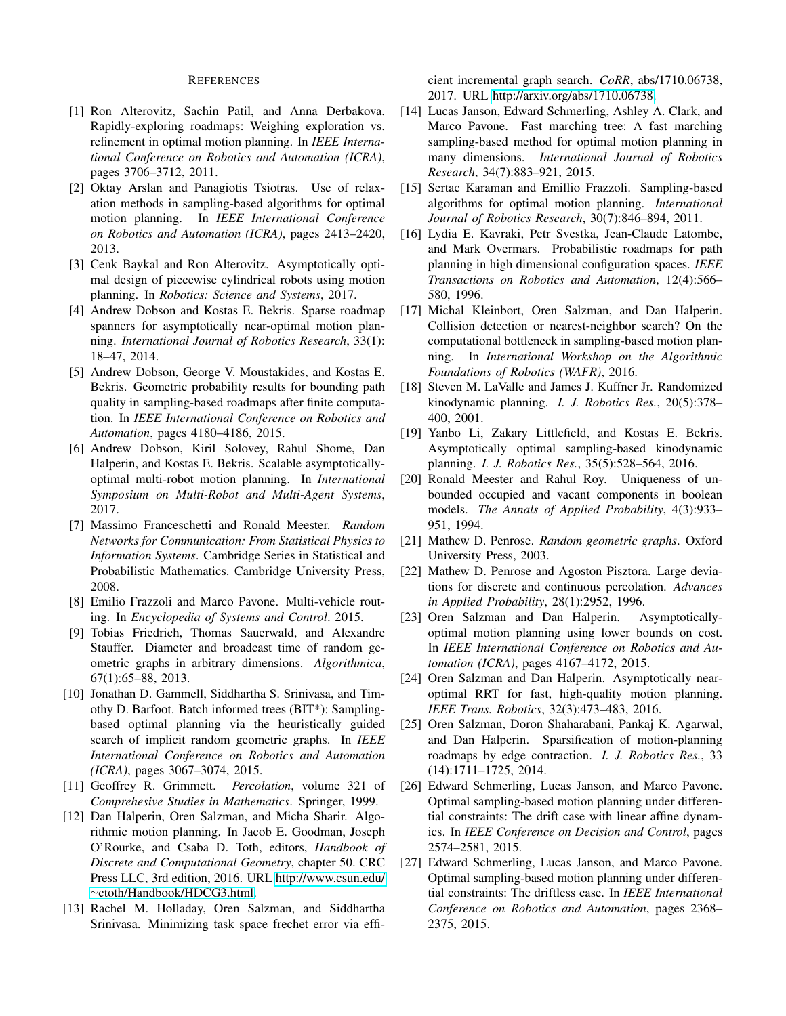## REFERENCES

- <span id="page-8-9"></span>[1] Ron Alterovitz, Sachin Patil, and Anna Derbakova. Rapidly-exploring roadmaps: Weighing exploration vs. refinement in optimal motion planning. In *IEEE International Conference on Robotics and Automation (ICRA)*, pages 3706–3712, 2011.
- <span id="page-8-10"></span>[2] Oktay Arslan and Panagiotis Tsiotras. Use of relaxation methods in sampling-based algorithms for optimal motion planning. In *IEEE International Conference on Robotics and Automation (ICRA)*, pages 2413–2420, 2013.
- <span id="page-8-2"></span>[3] Cenk Baykal and Ron Alterovitz. Asymptotically optimal design of piecewise cylindrical robots using motion planning. In *Robotics: Science and Systems*, 2017.
- <span id="page-8-16"></span>[4] Andrew Dobson and Kostas E. Bekris. Sparse roadmap spanners for asymptotically near-optimal motion planning. *International Journal of Robotics Research*, 33(1): 18–47, 2014.
- <span id="page-8-12"></span>[5] Andrew Dobson, George V. Moustakides, and Kostas E. Bekris. Geometric probability results for bounding path quality in sampling-based roadmaps after finite computation. In *IEEE International Conference on Robotics and Automation*, pages 4180–4186, 2015.
- <span id="page-8-6"></span>[6] Andrew Dobson, Kiril Solovey, Rahul Shome, Dan Halperin, and Kostas E. Bekris. Scalable asymptoticallyoptimal multi-robot motion planning. In *International Symposium on Multi-Robot and Multi-Agent Systems*, 2017.
- <span id="page-8-4"></span>[7] Massimo Franceschetti and Ronald Meester. *Random Networks for Communication: From Statistical Physics to Information Systems*. Cambridge Series in Statistical and Probabilistic Mathematics. Cambridge University Press, 2008.
- <span id="page-8-1"></span>[8] Emilio Frazzoli and Marco Pavone. Multi-vehicle routing. In *Encyclopedia of Systems and Control*. 2015.
- <span id="page-8-25"></span>[9] Tobias Friedrich, Thomas Sauerwald, and Alexandre Stauffer. Diameter and broadcast time of random geometric graphs in arbitrary dimensions. *Algorithmica*, 67(1):65–88, 2013.
- <span id="page-8-11"></span>[10] Jonathan D. Gammell, Siddhartha S. Srinivasa, and Timothy D. Barfoot. Batch informed trees (BIT\*): Samplingbased optimal planning via the heuristically guided search of implicit random geometric graphs. In *IEEE International Conference on Robotics and Automation (ICRA)*, pages 3067–3074, 2015.
- <span id="page-8-23"></span>[11] Geoffrey R. Grimmett. *Percolation*, volume 321 of *Comprehesive Studies in Mathematics*. Springer, 1999.
- <span id="page-8-0"></span>[12] Dan Halperin, Oren Salzman, and Micha Sharir. Algorithmic motion planning. In Jacob E. Goodman, Joseph O'Rourke, and Csaba D. Toth, editors, *Handbook of Discrete and Computational Geometry*, chapter 50. CRC Press LLC, 3rd edition, 2016. URL [http://www.csun.edu/](http://www.csun.edu/~ctoth/Handbook/HDCG3.html) <sup>∼</sup>[ctoth/Handbook/HDCG3.html.](http://www.csun.edu/~ctoth/Handbook/HDCG3.html)
- <span id="page-8-18"></span>[13] Rachel M. Holladay, Oren Salzman, and Siddhartha Srinivasa. Minimizing task space frechet error via effi-

cient incremental graph search. *CoRR*, abs/1710.06738, 2017. URL [http://arxiv.org/abs/1710.06738.](http://arxiv.org/abs/1710.06738)

- <span id="page-8-5"></span>[14] Lucas Janson, Edward Schmerling, Ashley A. Clark, and Marco Pavone. Fast marching tree: A fast marching sampling-based method for optimal motion planning in many dimensions. *International Journal of Robotics Research*, 34(7):883–921, 2015.
- <span id="page-8-7"></span>[15] Sertac Karaman and Emillio Frazzoli. Sampling-based algorithms for optimal motion planning. *International Journal of Robotics Research*, 30(7):846–894, 2011.
- <span id="page-8-3"></span>[16] Lydia E. Kavraki, Petr Svestka, Jean-Claude Latombe, and Mark Overmars. Probabilistic roadmaps for path planning in high dimensional configuration spaces. *IEEE Transactions on Robotics and Automation*, 12(4):566– 580, 1996.
- <span id="page-8-26"></span>[17] Michal Kleinbort, Oren Salzman, and Dan Halperin. Collision detection or nearest-neighbor search? On the computational bottleneck in sampling-based motion planning. In *International Workshop on the Algorithmic Foundations of Robotics (WAFR)*, 2016.
- <span id="page-8-8"></span>[18] Steven M. LaValle and James J. Kuffner Jr. Randomized kinodynamic planning. *I. J. Robotics Res.*, 20(5):378– 400, 2001.
- <span id="page-8-21"></span>[19] Yanbo Li, Zakary Littlefield, and Kostas E. Bekris. Asymptotically optimal sampling-based kinodynamic planning. *I. J. Robotics Res.*, 35(5):528–564, 2016.
- <span id="page-8-24"></span>[20] Ronald Meester and Rahul Roy. Uniqueness of unbounded occupied and vacant components in boolean models. *The Annals of Applied Probability*, 4(3):933– 951, 1994.
- <span id="page-8-13"></span>[21] Mathew D. Penrose. *Random geometric graphs*. Oxford University Press, 2003.
- <span id="page-8-22"></span>[22] Mathew D. Penrose and Agoston Pisztora. Large deviations for discrete and continuous percolation. *Advances in Applied Probability*, 28(1):2952, 1996.
- <span id="page-8-15"></span>[23] Oren Salzman and Dan Halperin. Asymptoticallyoptimal motion planning using lower bounds on cost. In *IEEE International Conference on Robotics and Automation (ICRA)*, pages 4167–4172, 2015.
- <span id="page-8-14"></span>[24] Oren Salzman and Dan Halperin. Asymptotically nearoptimal RRT for fast, high-quality motion planning. *IEEE Trans. Robotics*, 32(3):473–483, 2016.
- <span id="page-8-17"></span>[25] Oren Salzman, Doron Shaharabani, Pankaj K. Agarwal, and Dan Halperin. Sparsification of motion-planning roadmaps by edge contraction. *I. J. Robotics Res.*, 33 (14):1711–1725, 2014.
- <span id="page-8-19"></span>[26] Edward Schmerling, Lucas Janson, and Marco Pavone. Optimal sampling-based motion planning under differential constraints: The drift case with linear affine dynamics. In *IEEE Conference on Decision and Control*, pages 2574–2581, 2015.
- <span id="page-8-20"></span>[27] Edward Schmerling, Lucas Janson, and Marco Pavone. Optimal sampling-based motion planning under differential constraints: The driftless case. In *IEEE International Conference on Robotics and Automation*, pages 2368– 2375, 2015.